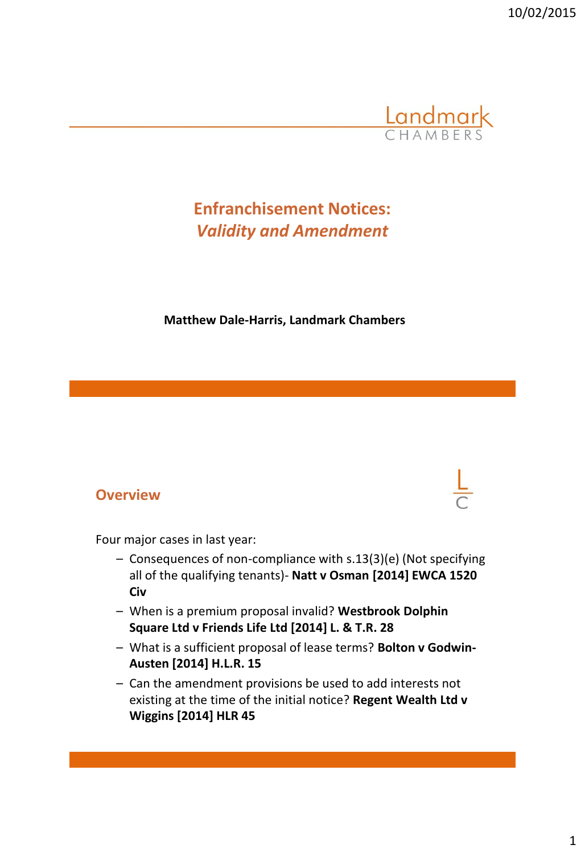10/02/2015



# **Enfranchisement Notices:** *Validity and Amendment*

#### **Matthew Dale-Harris, Landmark Chambers**

#### **Overview**



Four major cases in last year:

- Consequences of non-compliance with s.13(3)(e) (Not specifying all of the qualifying tenants)- **Natt v Osman [2014] EWCA 1520 Civ**
- When is a premium proposal invalid? **Westbrook Dolphin Square Ltd v Friends Life Ltd [2014] L. & T.R. 28**
- What is a sufficient proposal of lease terms? **Bolton v Godwin-Austen [2014] H.L.R. 15**
- Can the amendment provisions be used to add interests not existing at the time of the initial notice? **Regent Wealth Ltd v Wiggins [2014] HLR 45**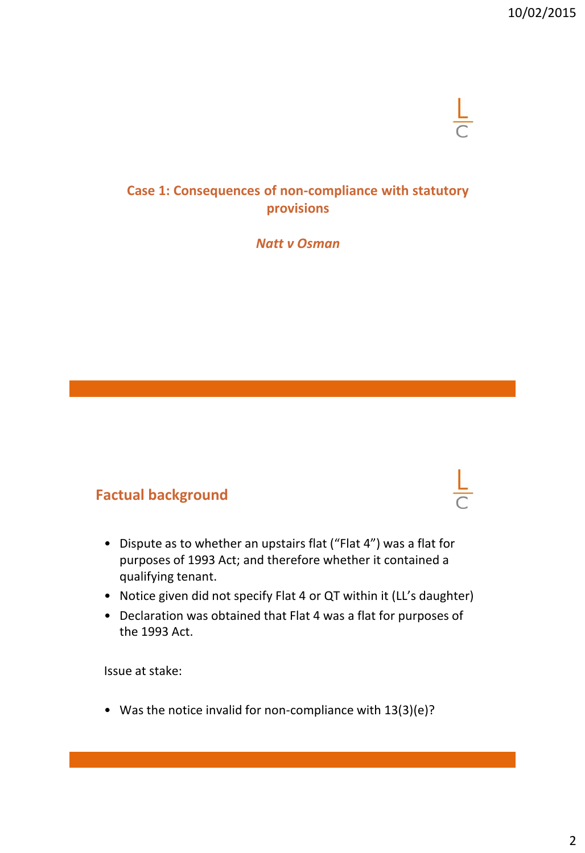### **Case 1: Consequences of non-compliance with statutory provisions**

#### *Natt v Osman*

### **Factual background**

- Dispute as to whether an upstairs flat ("Flat 4") was a flat for purposes of 1993 Act; and therefore whether it contained a qualifying tenant.
- Notice given did not specify Flat 4 or QT within it (LL's daughter)
- Declaration was obtained that Flat 4 was a flat for purposes of the 1993 Act.

Issue at stake:

• Was the notice invalid for non-compliance with 13(3)(e)?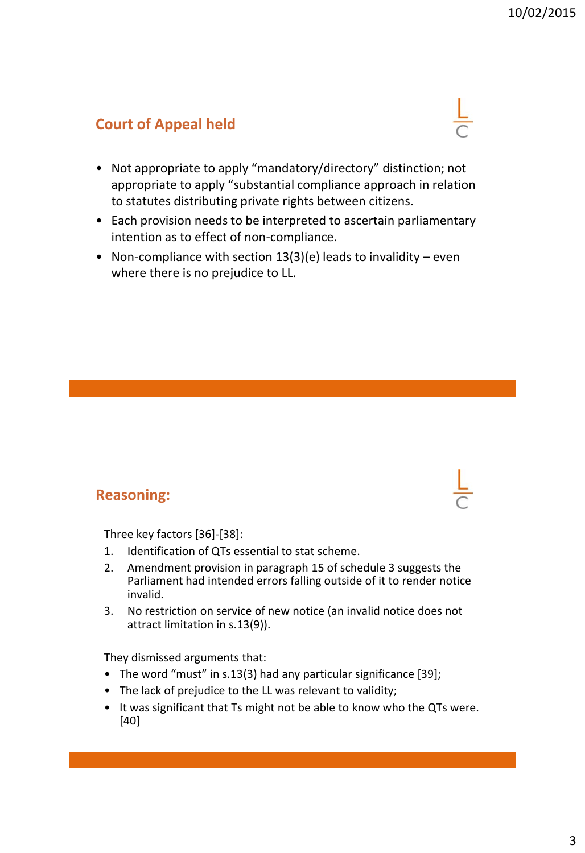## **Court of Appeal held**

- Not appropriate to apply "mandatory/directory" distinction; not appropriate to apply "substantial compliance approach in relation to statutes distributing private rights between citizens.
- Each provision needs to be interpreted to ascertain parliamentary intention as to effect of non-compliance.
- Non-compliance with section  $13(3)(e)$  leads to invalidity even where there is no prejudice to LL.

#### **Reasoning:**

Three key factors [36]-[38]:

- 1. Identification of QTs essential to stat scheme.
- 2. Amendment provision in paragraph 15 of schedule 3 suggests the Parliament had intended errors falling outside of it to render notice invalid.
- 3. No restriction on service of new notice (an invalid notice does not attract limitation in s.13(9)).

They dismissed arguments that:

- The word "must" in s.13(3) had any particular significance [39];
- The lack of prejudice to the LL was relevant to validity;
- It was significant that Ts might not be able to know who the QTs were. [40]

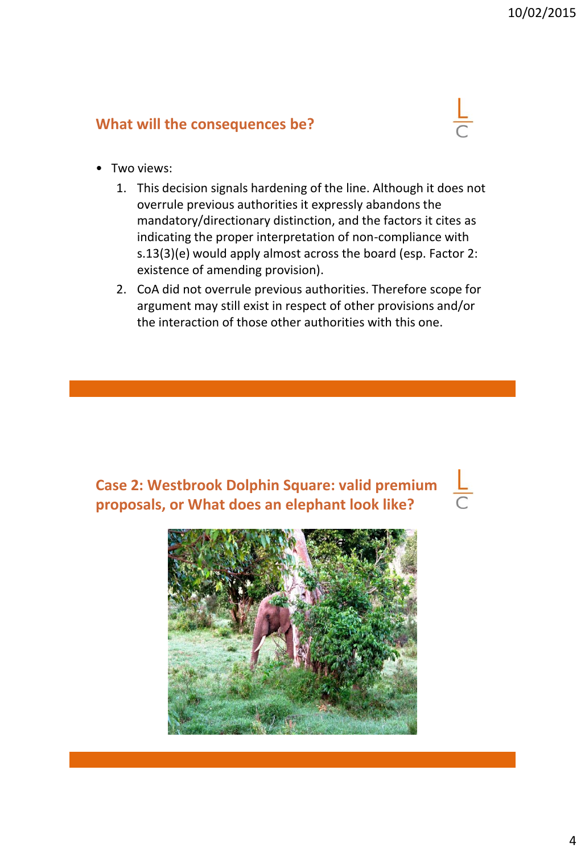### **What will the consequences be?**

- Two views:
	- 1. This decision signals hardening of the line. Although it does not overrule previous authorities it expressly abandons the mandatory/directionary distinction, and the factors it cites as indicating the proper interpretation of non-compliance with s.13(3)(e) would apply almost across the board (esp. Factor 2: existence of amending provision).
	- 2. CoA did not overrule previous authorities. Therefore scope for argument may still exist in respect of other provisions and/or the interaction of those other authorities with this one.

## **Case 2: Westbrook Dolphin Square: valid premium proposals, or What does an elephant look like?**

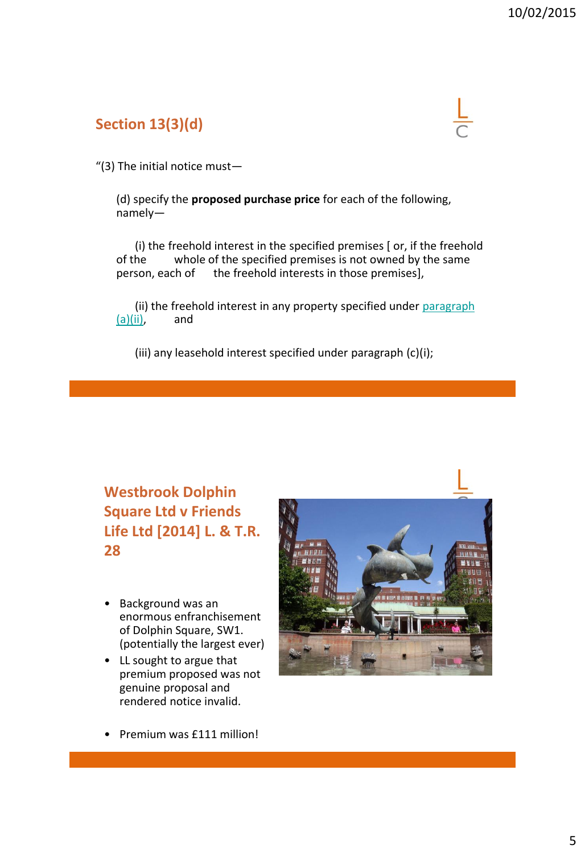## **Section 13(3)(d)**

"(3) The initial notice must—

(d) specify the **proposed purchase price** for each of the following, namely—

(i) the freehold interest in the specified premises [ or, if the freehold of the whole of the specified premises is not owned by the same<br>person, each of the freehold interests in those premises], the freehold interests in those premises],

(ii) the freehold interest in any property specified under [paragraph](http://login.westlaw.co.uk/maf/wluk/app/document?src=doc&linktype=ref&context=38&crumb-action=replace&docguid=I3B094951E44D11DA8D70A0E70A78ED65)   $(a)(ii)$ , and

(iii) any leasehold interest specified under paragraph (c)(i);

## **Westbrook Dolphin Square Ltd v Friends Life Ltd [2014] L. & T.R. 28**

- Background was an enormous enfranchisement of Dolphin Square, SW1. (potentially the largest ever)
- LL sought to argue that premium proposed was not genuine proposal and rendered notice invalid.



• Premium was £111 million!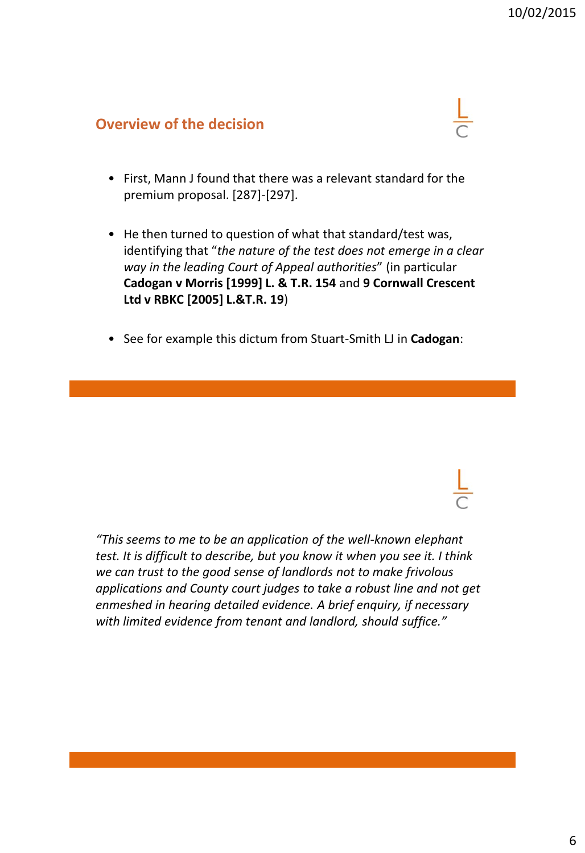#### **Overview of the decision**

- First, Mann J found that there was a relevant standard for the premium proposal. [287]-[297].
- He then turned to question of what that standard/test was, identifying that "*the nature of the test does not emerge in a clear way in the leading Court of Appeal authorities*" (in particular **Cadogan v Morris [1999] L. & T.R. 154** and **9 Cornwall Crescent Ltd v RBKC [2005] L.&T.R. 19**)
- See for example this dictum from Stuart-Smith LJ in **Cadogan**:

*"This seems to me to be an application of the well-known elephant test. It is difficult to describe, but you know it when you see it. I think we can trust to the good sense of landlords not to make frivolous applications and County court judges to take a robust line and not get enmeshed in hearing detailed evidence. A brief enquiry, if necessary with limited evidence from tenant and landlord, should suffice."*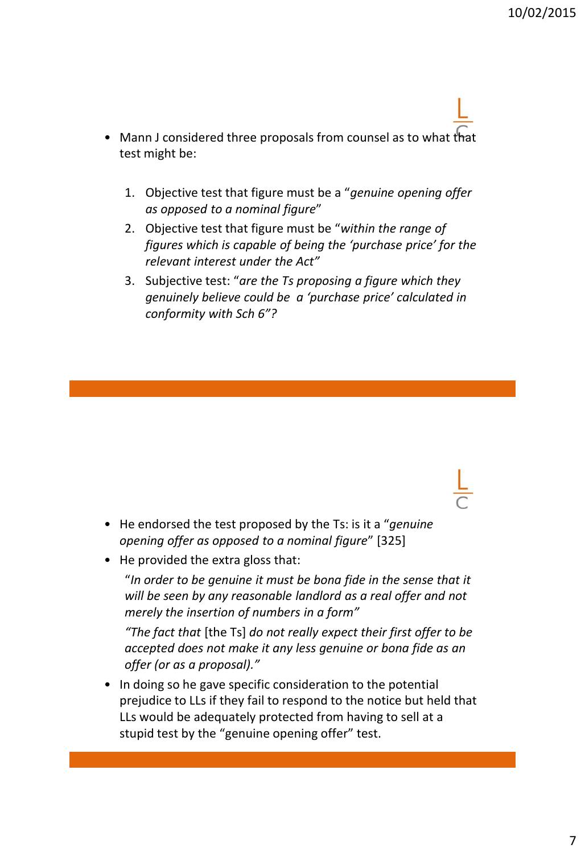- Mann J considered three proposals from counsel as to what that test might be:
	- 1. Objective test that figure must be a "*genuine opening offer as opposed to a nominal figure*"
	- 2. Objective test that figure must be "*within the range of figures which is capable of being the 'purchase price' for the relevant interest under the Act"*
	- 3. Subjective test: "*are the Ts proposing a figure which they genuinely believe could be a 'purchase price' calculated in conformity with Sch 6"?*

- He endorsed the test proposed by the Ts: is it a "*genuine opening offer as opposed to a nominal figure*" [325]
- He provided the extra gloss that:

"*In order to be genuine it must be bona fide in the sense that it will be seen by any reasonable landlord as a real offer and not merely the insertion of numbers in a form"*

*"The fact that* [the Ts] *do not really expect their first offer to be accepted does not make it any less genuine or bona fide as an offer (or as a proposal)."*

• In doing so he gave specific consideration to the potential prejudice to LLs if they fail to respond to the notice but held that LLs would be adequately protected from having to sell at a stupid test by the "genuine opening offer" test.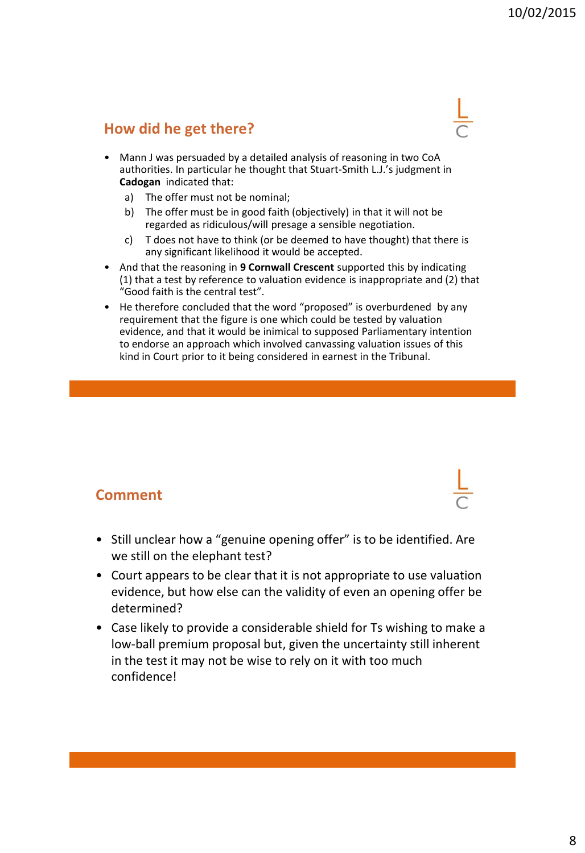### **How did he get there?**

- Mann J was persuaded by a detailed analysis of reasoning in two CoA authorities. In particular he thought that Stuart-Smith L.J.'s judgment in **Cadogan** indicated that:
	- a) The offer must not be nominal;
	- b) The offer must be in good faith (objectively) in that it will not be regarded as ridiculous/will presage a sensible negotiation.
	- c) T does not have to think (or be deemed to have thought) that there is any significant likelihood it would be accepted.
- And that the reasoning in **9 Cornwall Crescent** supported this by indicating (1) that a test by reference to valuation evidence is inappropriate and (2) that "Good faith is the central test".
- He therefore concluded that the word "proposed" is overburdened by any requirement that the figure is one which could be tested by valuation evidence, and that it would be inimical to supposed Parliamentary intention to endorse an approach which involved canvassing valuation issues of this kind in Court prior to it being considered in earnest in the Tribunal.

#### **Comment**

- Still unclear how a "genuine opening offer" is to be identified. Are we still on the elephant test?
- Court appears to be clear that it is not appropriate to use valuation evidence, but how else can the validity of even an opening offer be determined?
- Case likely to provide a considerable shield for Ts wishing to make a low-ball premium proposal but, given the uncertainty still inherent in the test it may not be wise to rely on it with too much confidence!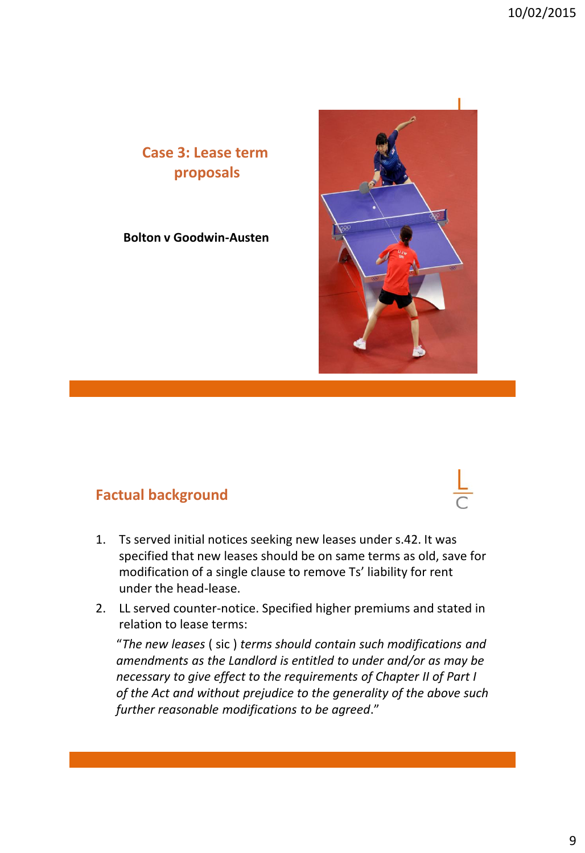## **Case 3: Lease term proposals**

#### **Bolton v Goodwin-Austen**

### **Factual background**

- 1. Ts served initial notices seeking new leases under s.42. It was specified that new leases should be on same terms as old, save for modification of a single clause to remove Ts' liability for rent under the head-lease.
- 2. LL served counter-notice. Specified higher premiums and stated in relation to lease terms:

"*The new leases* ( sic ) *terms should contain such modifications and amendments as the Landlord is entitled to under and/or as may be necessary to give effect to the requirements of Chapter II of Part I of the Act and without prejudice to the generality of the above such further reasonable modifications to be agreed*."



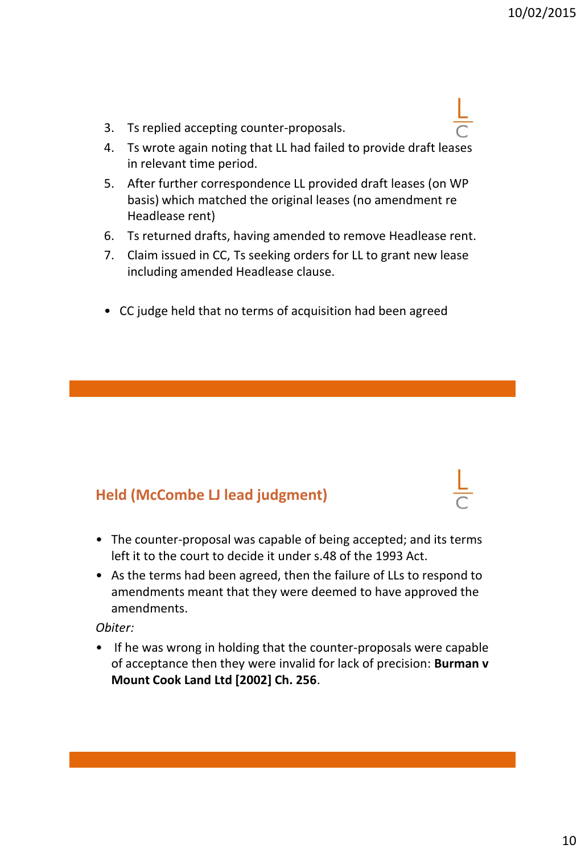- 3. Ts replied accepting counter-proposals.
- 4. Ts wrote again noting that LL had failed to provide draft leases in relevant time period.
- 5. After further correspondence LL provided draft leases (on WP basis) which matched the original leases (no amendment re Headlease rent)
- 6. Ts returned drafts, having amended to remove Headlease rent.
- 7. Claim issued in CC, Ts seeking orders for LL to grant new lease including amended Headlease clause.
- CC judge held that no terms of acquisition had been agreed

#### **Held (McCombe LJ lead judgment)**

- The counter-proposal was capable of being accepted; and its terms left it to the court to decide it under s.48 of the 1993 Act.
- As the terms had been agreed, then the failure of LLs to respond to amendments meant that they were deemed to have approved the amendments.

#### *Obiter:*

• If he was wrong in holding that the counter-proposals were capable of acceptance then they were invalid for lack of precision: **Burman v Mount Cook Land Ltd [2002] Ch. 256**.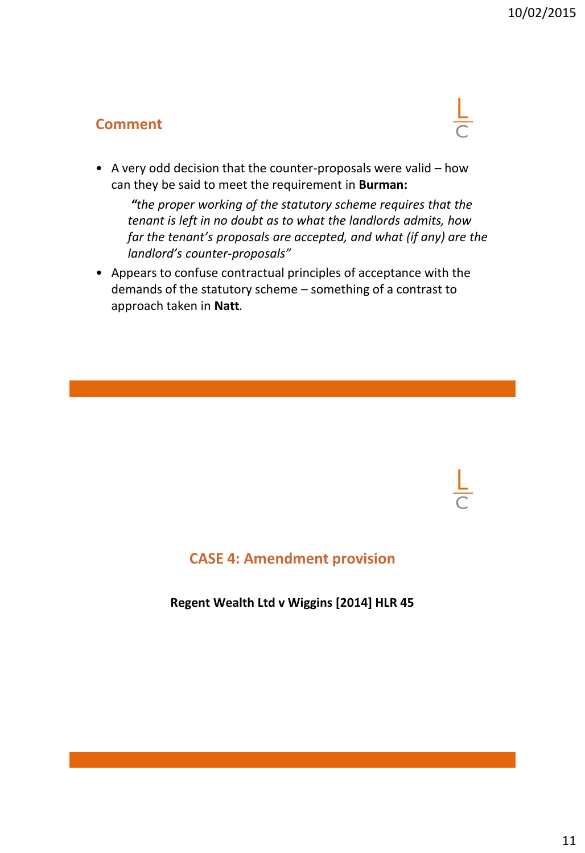### **Comment**



• A very odd decision that the counter-proposals were valid – how can they be said to meet the requirement in **Burman:**

*"the proper working of the statutory scheme requires that the tenant is left in no doubt as to what the landlords admits, how far the tenant's proposals are accepted, and what (if any) are the landlord's counter-proposals"*

• Appears to confuse contractual principles of acceptance with the demands of the statutory scheme – something of a contrast to approach taken in **Natt***.*

### **CASE 4: Amendment provision**

**Regent Wealth Ltd v Wiggins [2014] HLR 45**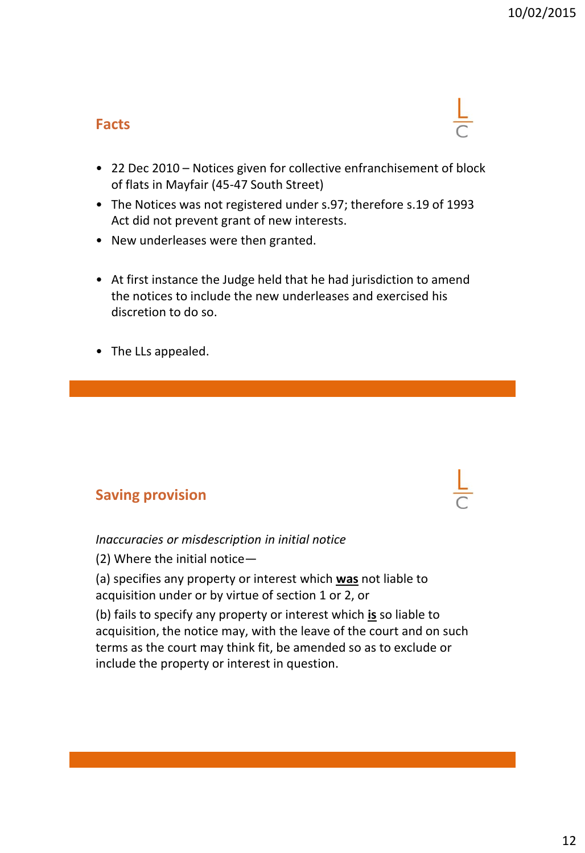### **Facts**

- 22 Dec 2010 Notices given for collective enfranchisement of block of flats in Mayfair (45-47 South Street)
- The Notices was not registered under s.97; therefore s.19 of 1993 Act did not prevent grant of new interests.
- New underleases were then granted.
- At first instance the Judge held that he had jurisdiction to amend the notices to include the new underleases and exercised his discretion to do so.
- The LLs appealed.

### **Saving provision**



*Inaccuracies or misdescription in initial notice*

(2) Where the initial notice—

(a) specifies any property or interest which **was** not liable to acquisition under or by virtue of section 1 or 2, or

(b) fails to specify any property or interest which **is** so liable to acquisition, the notice may, with the leave of the court and on such terms as the court may think fit, be amended so as to exclude or include the property or interest in question.